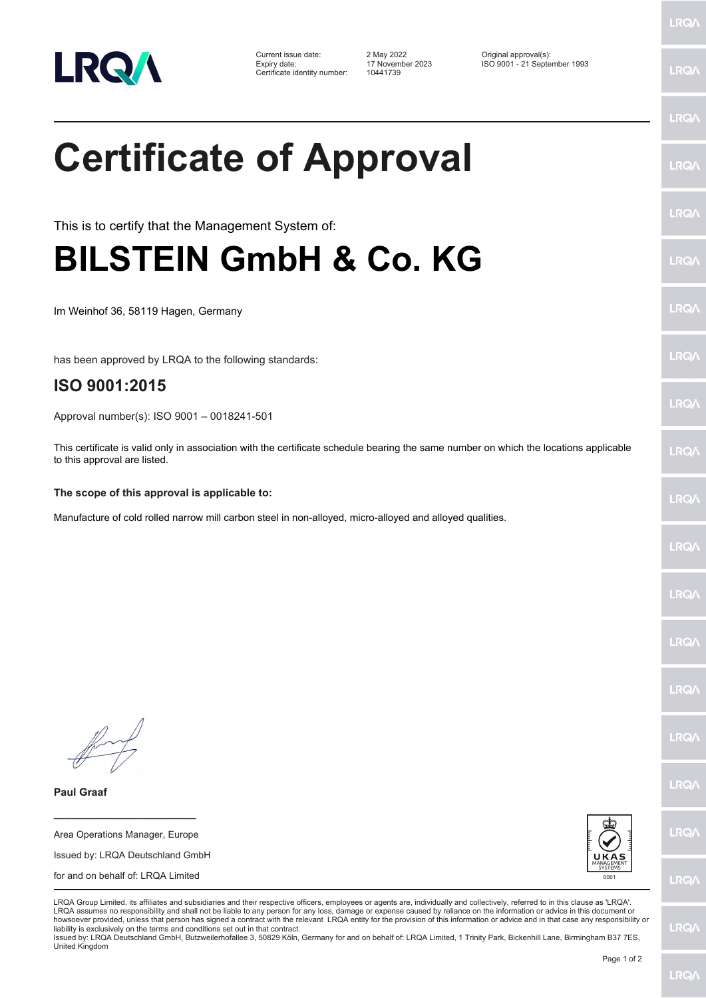

Certificate identity number: 10441739

Current issue date: 2 May 2022<br>
Expiry date: 1993 17 November 2023 180 9001 - 21 September 1993

## **Certificate of Approval**

This is to certify that the Management System of:

## **BILSTEIN GmbH & Co. KG**

Im Weinhof 36, 58119 Hagen, Germany

has been approved by LRQA to the following standards:

## **ISO 9001:2015**

Approval number(s): ISO 9001 – 0018241-501

This certificate is valid only in association with the certificate schedule bearing the same number on which the locations applicable to this approval are listed.

## **The scope of this approval is applicable to:**

Manufacture of cold rolled narrow mill carbon steel in non-alloyed, micro-alloyed and alloyed qualities.

**Paul Graaf**

Area Operations Manager, Europe Issued by: LRQA Deutschland GmbH for and on behalf of: LRQA Limited

**\_\_\_\_\_\_\_\_\_\_\_\_\_\_\_\_\_\_\_\_\_\_\_\_**



LRQA Group Limited, its affiliates and subsidiaries and their respective officers, employees or agents are, individually and collectively, referred to in this clause as 'LRQA'. LRQA assumes no responsibility and shall not be liable to any person for any loss, damage or expense caused by reliance on the information or advice in this document or howsoever provided, unless that person has signed a contract with the relevant LRQA entity for the provision of this information or advice and in that case any responsibility or liability is exclusively on the terms and conditions set out in that contract.

Issued by: LRQA Deutschland GmbH, Butzweilerhofallee 3, 50829 Köln, Germany for and on behalf of: LRQA Limited, 1 Trinity Park, Bickenhill Lane, Birmingham B37 7ES, United Kingdom

LRQ/

LRQ/

LRQ/

LRQ/

LRQ/

LRQ/

LRQ/

LRQ/

**LRQA** 

**LRO** 

LRQ/

LRQ/

LRQ/

LRQ/

LRQ/

**IRQA** 

LRQ/

LRQ/

**LRQ/** 

LRQ/